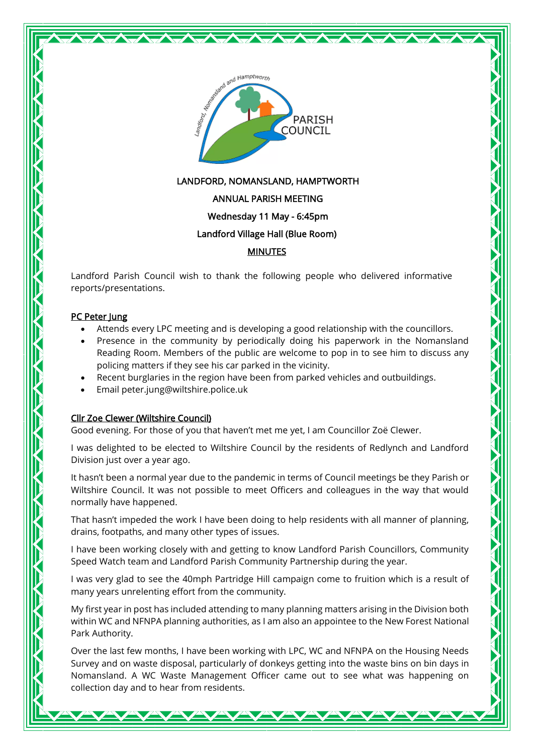

## LANDFORD, NOMANSLAND, HAMPTWORTH

### ANNUAL PARISH MEETING

### Wednesday 11 May - 6:45pm

### Landford Village Hall (Blue Room)

### MINUTES

Landford Parish Council wish to thank the following people who delivered informative reports/presentations.

### PC Peter Jung

- Attends every LPC meeting and is developing a good relationship with the councillors.
- Presence in the community by periodically doing his paperwork in the Nomansland Reading Room. Members of the public are welcome to pop in to see him to discuss any policing matters if they see his car parked in the vicinity.
- Recent burglaries in the region have been from parked vehicles and outbuildings.
- Email peter.jung@wiltshire.police.uk

# Cllr Zoe Clewer (Wiltshire Council)

Good evening. For those of you that haven't met me yet, I am Councillor Zoë Clewer.

I was delighted to be elected to Wiltshire Council by the residents of Redlynch and Landford Division just over a year ago.

It hasn't been a normal year due to the pandemic in terms of Council meetings be they Parish or Wiltshire Council. It was not possible to meet Officers and colleagues in the way that would normally have happened.

That hasn't impeded the work I have been doing to help residents with all manner of planning, drains, footpaths, and many other types of issues.

I have been working closely with and getting to know Landford Parish Councillors, Community Speed Watch team and Landford Parish Community Partnership during the year.

I was very glad to see the 40mph Partridge Hill campaign come to fruition which is a result of many years unrelenting effort from the community.

My first year in post has included attending to many planning matters arising in the Division both within WC and NFNPA planning authorities, as I am also an appointee to the New Forest National Park Authority.

Over the last few months, I have been working with LPC, WC and NFNPA on the Housing Needs Survey and on waste disposal, particularly of donkeys getting into the waste bins on bin days in Nomansland. A WC Waste Management Officer came out to see what was happening on collection day and to hear from residents.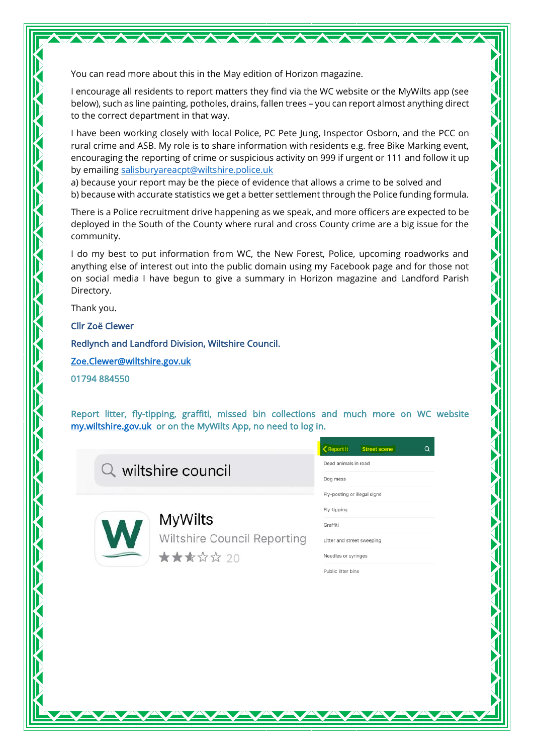You can read more about this in the May edition of Horizon magazine.

I encourage all residents to report matters they find via the WC website or the MyWilts app (see below), such as line painting, potholes, drains, fallen trees – you can report almost anything direct to the correct department in that way.

I have been working closely with local Police, PC Pete Jung, Inspector Osborn, and the PCC on rural crime and ASB. My role is to share information with residents e.g. free Bike Marking event, encouraging the reporting of crime or suspicious activity on 999 if urgent or 111 and follow it up by emailing [salisburyareacpt@wiltshire.police.uk](mailto:salisburyareacpt@wiltshire.police.uk)

a) because your report may be the piece of evidence that allows a crime to be solved and b) because with accurate statistics we get a better settlement through the Police funding formula.

There is a Police recruitment drive happening as we speak, and more officers are expected to be deployed in the South of the County where rural and cross County crime are a big issue for the community.

I do my best to put information from WC, the New Forest, Police, upcoming roadworks and anything else of interest out into the public domain using my Facebook page and for those not on social media I have begun to give a summary in Horizon magazine and Landford Parish Directory.

Thank you.

Cllr Zoë Clewer

Redlynch and Landford Division, Wiltshire Council.

[Zoe.Clewer@wiltshire.gov.uk](mailto:zoe.clewer@wiltshire.gov.uk)

01794 884550

Report litter, fly-tipping, graffiti, missed bin collections and much more on WC website [my.wiltshire.gov.uk](http://www.my.wiltshire.gov.uk/) or on the MyWilts App, no need to log in.

 $Q$  wiltshire council



**MyWilts** Wiltshire Council Reporting ★★★☆☆ 20

| Report It<br><b>Street scene</b> |  |
|----------------------------------|--|
| Dead animals in road             |  |
| Dog mess                         |  |
| Fly-posting or illegal signs     |  |
| Fly-tipping                      |  |
| Graffiti                         |  |
| Litter and street sweeping       |  |
| Needles or syringes              |  |
| Public litter bins               |  |